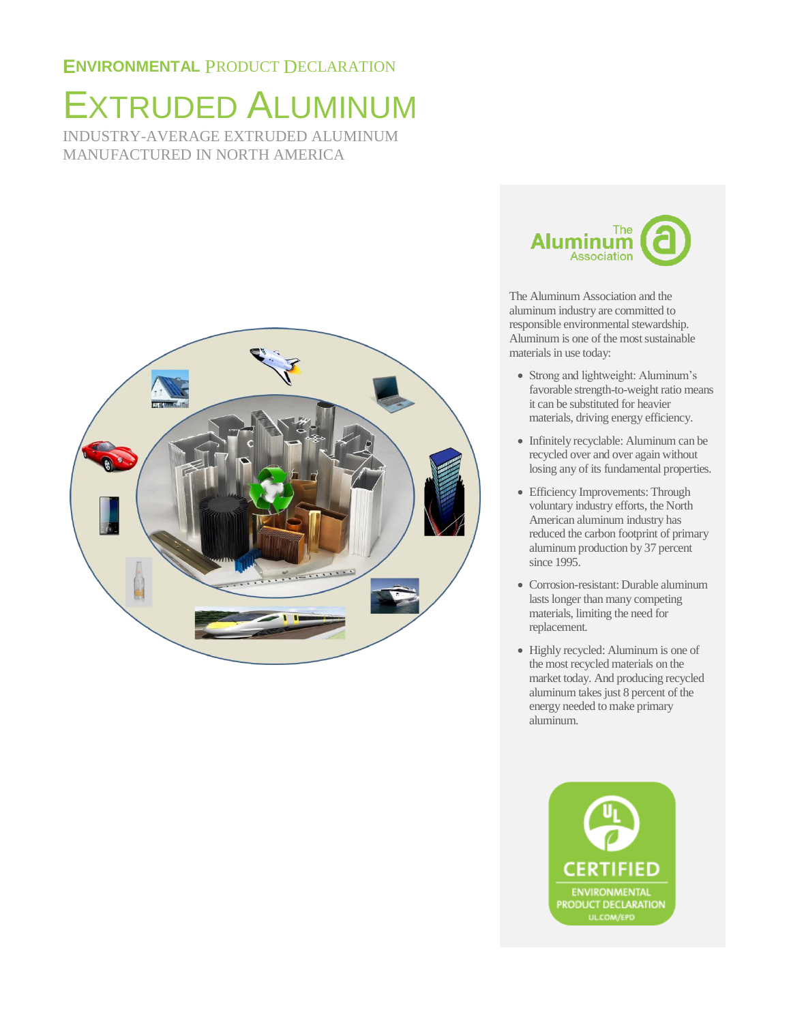## EXTRUDED ALUMINUM INDUSTRY-AVERAGE EXTRUDED ALUMINUM MANUFACTURED IN NORTH AMERICA





The Aluminum Association and the aluminum industry are committed to responsible environmental stewardship. Aluminum is one of the most sustainable materials in use today:

- Strong and lightweight: Aluminum's favorable strength-to-weight ratio means it can be substituted for heavier materials, driving energy efficiency.
- Infinitely recyclable: Aluminum can be recycled over and over again without losing any of its fundamental properties.
- Efficiency Improvements: Through voluntary industry efforts, the North American aluminum industry has reduced the carbon footprint of primary aluminum production by 37 percent since 1995.
- Corrosion-resistant: Durable aluminum lasts longer than many competing materials, limiting the need for replacement.
- Highly recycled: Aluminum is one of the most recycled materials on the market today. And producing recycled aluminum takes just 8 percent of the energy needed to make primary aluminum.

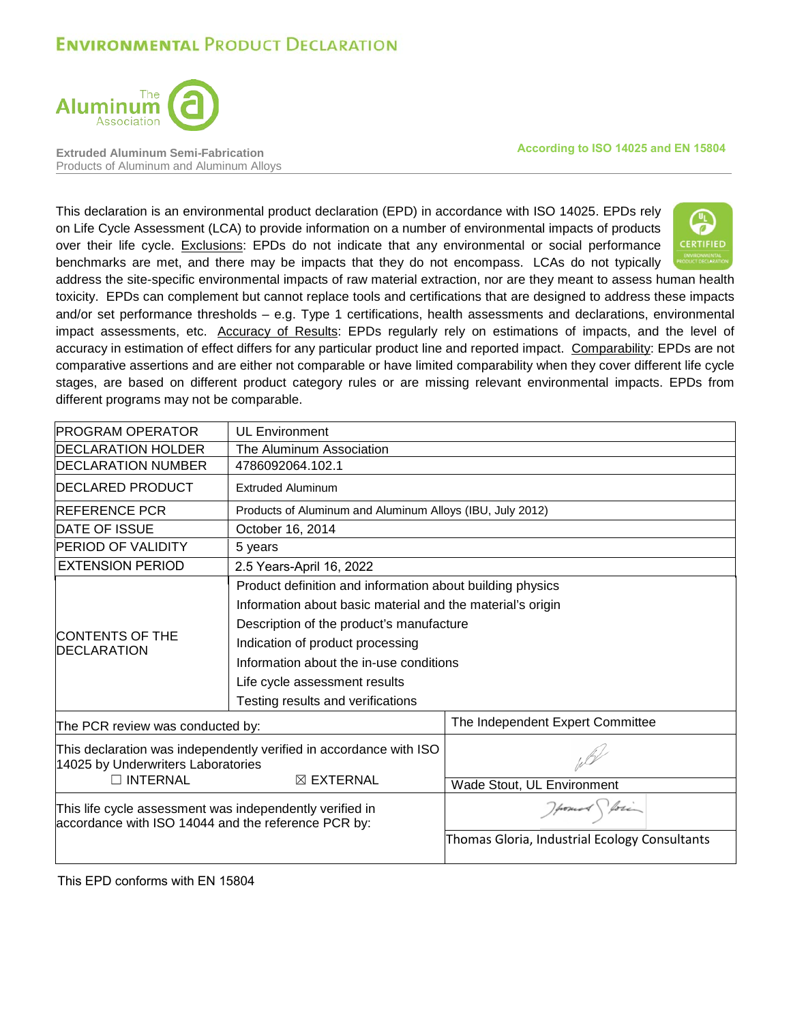

**Extruded Aluminum Semi-Fabrication** Products of Aluminum and Aluminum Alloys **According to ISO 14025 and EN 15804**

This declaration is an environmental product declaration (EPD) in accordance with ISO 14025. EPDs rely on Life Cycle Assessment (LCA) to provide information on a number of environmental impacts of products over their life cycle. Exclusions: EPDs do not indicate that any environmental or social performance benchmarks are met, and there may be impacts that they do not encompass. LCAs do not typically



address the site-specific environmental impacts of raw material extraction, nor are they meant to assess human health toxicity. EPDs can complement but cannot replace tools and certifications that are designed to address these impacts and/or set performance thresholds – e.g. Type 1 certifications, health assessments and declarations, environmental impact assessments, etc. Accuracy of Results: EPDs regularly rely on estimations of impacts, and the level of accuracy in estimation of effect differs for any particular product line and reported impact. Comparability: EPDs are not comparative assertions and are either not comparable or have limited comparability when they cover different life cycle stages, are based on different product category rules or are missing relevant environmental impacts. EPDs from different programs may not be comparable.

| <b>PROGRAM OPERATOR</b>                                                                                         | <b>UL Environment</b>                                              |                                               |  |  |  |
|-----------------------------------------------------------------------------------------------------------------|--------------------------------------------------------------------|-----------------------------------------------|--|--|--|
| <b>IDECLARATION HOLDER</b>                                                                                      | The Aluminum Association                                           |                                               |  |  |  |
| <b>DECLARATION NUMBER</b>                                                                                       | 4786092064.102.1                                                   |                                               |  |  |  |
| <b>DECLARED PRODUCT</b>                                                                                         | <b>Extruded Aluminum</b>                                           |                                               |  |  |  |
| <b>IREFERENCE PCR</b>                                                                                           | Products of Aluminum and Aluminum Alloys (IBU, July 2012)          |                                               |  |  |  |
| <b>DATE OF ISSUE</b>                                                                                            | October 16, 2014                                                   |                                               |  |  |  |
| <b>IPERIOD OF VALIDITY</b>                                                                                      | 5 years                                                            |                                               |  |  |  |
| <b>EXTENSION PERIOD</b>                                                                                         | 2.5 Years-April 16, 2022                                           |                                               |  |  |  |
|                                                                                                                 | Product definition and information about building physics          |                                               |  |  |  |
|                                                                                                                 | Information about basic material and the material's origin         |                                               |  |  |  |
|                                                                                                                 | Description of the product's manufacture                           |                                               |  |  |  |
| <b>ICONTENTS OF THE</b>                                                                                         | Indication of product processing                                   |                                               |  |  |  |
| <b>IDECLARATION</b>                                                                                             | Information about the in-use conditions                            |                                               |  |  |  |
|                                                                                                                 | Life cycle assessment results                                      |                                               |  |  |  |
|                                                                                                                 | Testing results and verifications                                  |                                               |  |  |  |
| The PCR review was conducted by:                                                                                |                                                                    | The Independent Expert Committee              |  |  |  |
| 14025 by Underwriters Laboratories                                                                              | This declaration was independently verified in accordance with ISO |                                               |  |  |  |
| $\Box$ INTERNAL                                                                                                 | $\boxtimes$ EXTERNAL                                               | Wade Stout, UL Environment                    |  |  |  |
| This life cycle assessment was independently verified in<br>accordance with ISO 14044 and the reference PCR by: |                                                                    | Howard Sporin                                 |  |  |  |
|                                                                                                                 |                                                                    | Thomas Gloria, Industrial Ecology Consultants |  |  |  |

This EPD conforms with EN 15804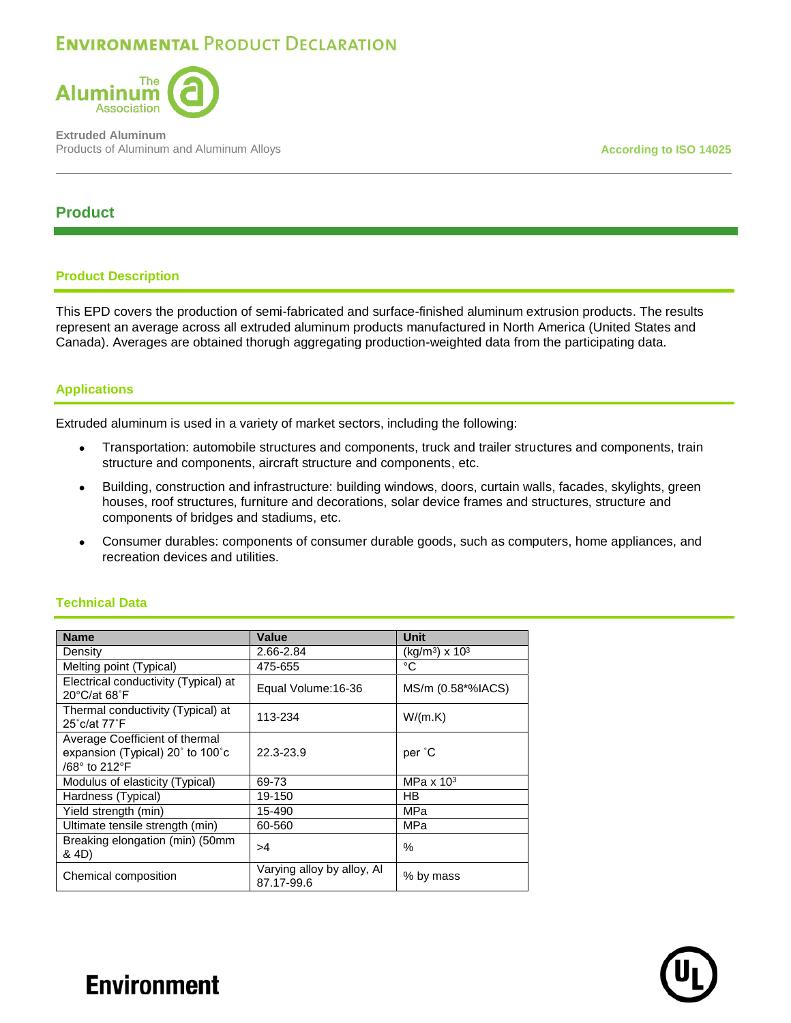

**Extruded Aluminum** Products of Aluminum and Aluminum Alloys **According to ISO 14025 According to ISO 14025** 

## **Product**

### **Product Description**

This EPD covers the production of semi-fabricated and surface-finished aluminum extrusion products. The results represent an average across all extruded aluminum products manufactured in North America (United States and Canada). Averages are obtained thorugh aggregating production-weighted data from the participating data.

### **Applications**

Extruded aluminum is used in a variety of market sectors, including the following:

- Transportation: automobile structures and components, truck and trailer structures and components, train structure and components, aircraft structure and components, etc.
- Building, construction and infrastructure: building windows, doors, curtain walls, facades, skylights, green houses, roof structures, furniture and decorations, solar device frames and structures, structure and components of bridges and stadiums, etc.
- Consumer durables: components of consumer durable goods, such as computers, home appliances, and recreation devices and utilities.

### **Technical Data**

| <b>Name</b>                                                                         | Value                                    | <b>Unit</b>                            |
|-------------------------------------------------------------------------------------|------------------------------------------|----------------------------------------|
| Density                                                                             | 2.66-2.84                                | (kg/m <sup>3</sup> ) x 10 <sup>3</sup> |
| Melting point (Typical)                                                             | 475-655                                  | °C                                     |
| Electrical conductivity (Typical) at<br>$20^{\circ}$ C/at 68 $^{\circ}$ F           | Equal Volume: 16-36                      | MS/m (0.58*%IACS)                      |
| Thermal conductivity (Typical) at<br>25°c/at 77°F                                   | 113-234                                  | W/(m.K)                                |
| Average Coefficient of thermal<br>expansion (Typical) 20° to 100°c<br>/68° to 212°F | 22.3-23.9                                | per °C                                 |
| Modulus of elasticity (Typical)                                                     | 69-73                                    | MPa $\times$ 10 <sup>3</sup>           |
| Hardness (Typical)                                                                  | 19-150                                   | HB                                     |
| Yield strength (min)                                                                | 15-490                                   | MPa                                    |
| Ultimate tensile strength (min)                                                     | 60-560                                   | MPa                                    |
| Breaking elongation (min) (50mm<br>& 4D)                                            | >4                                       | $\%$                                   |
| Chemical composition                                                                | Varying alloy by alloy, Al<br>87.17-99.6 | % by mass                              |

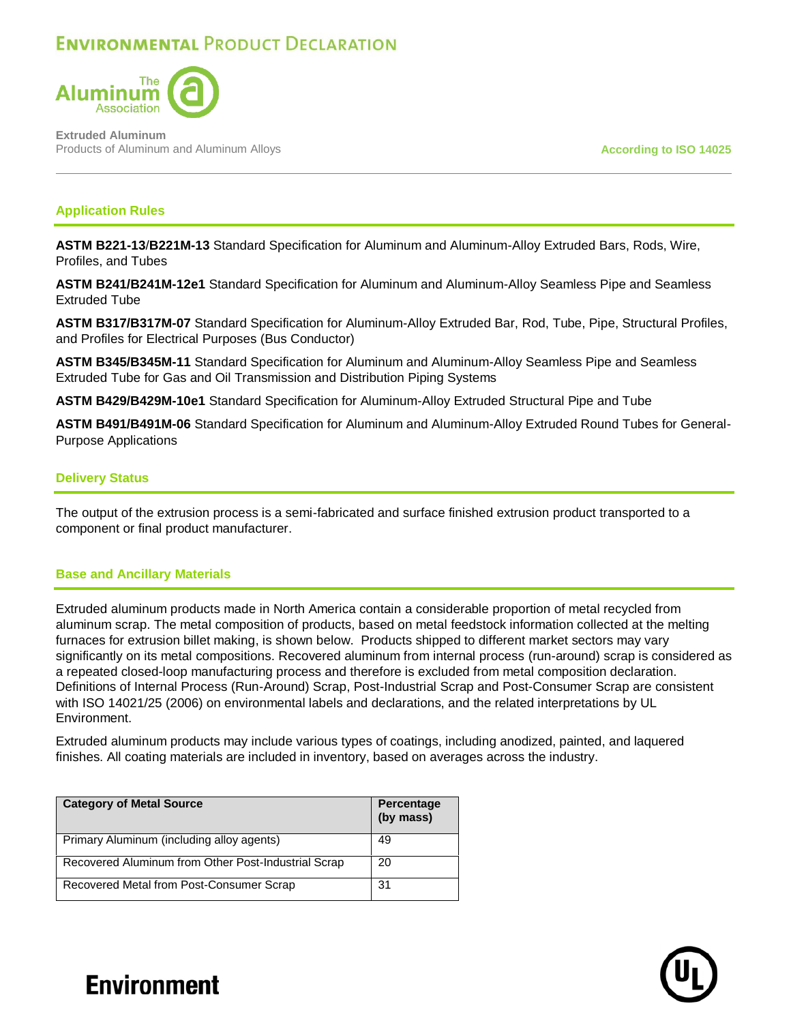

**Extruded Aluminum** Products of Aluminum and Aluminum Alloys **According to ISO 14025 According to ISO 14025** 

### **Application Rules**

**ASTM B221-13**/**B221M-13** Standard Specification for Aluminum and Aluminum-Alloy Extruded Bars, Rods, Wire, Profiles, and Tubes

**ASTM B241/B241M-12e1** Standard Specification for Aluminum and Aluminum-Alloy Seamless Pipe and Seamless Extruded Tube

**ASTM B317/B317M-07** Standard Specification for Aluminum-Alloy Extruded Bar, Rod, Tube, Pipe, Structural Profiles, and Profiles for Electrical Purposes (Bus Conductor)

**ASTM B345/B345M-11** Standard Specification for Aluminum and Aluminum-Alloy Seamless Pipe and Seamless Extruded Tube for Gas and Oil Transmission and Distribution Piping Systems

**ASTM B429/B429M-10e1** Standard Specification for Aluminum-Alloy Extruded Structural Pipe and Tube

**ASTM B491/B491M-06** Standard Specification for Aluminum and Aluminum-Alloy Extruded Round Tubes for General-Purpose Applications

### **Delivery Status**

The output of the extrusion process is a semi-fabricated and surface finished extrusion product transported to a component or final product manufacturer.

#### **Base and Ancillary Materials**

Extruded aluminum products made in North America contain a considerable proportion of metal recycled from aluminum scrap. The metal composition of products, based on metal feedstock information collected at the melting furnaces for extrusion billet making, is shown below. Products shipped to different market sectors may vary significantly on its metal compositions. Recovered aluminum from internal process (run-around) scrap is considered as a repeated closed-loop manufacturing process and therefore is excluded from metal composition declaration. Definitions of Internal Process (Run-Around) Scrap, Post-Industrial Scrap and Post-Consumer Scrap are consistent with ISO 14021/25 (2006) on environmental labels and declarations, and the related interpretations by UL Environment.

Extruded aluminum products may include various types of coatings, including anodized, painted, and laquered finishes. All coating materials are included in inventory, based on averages across the industry.

| <b>Category of Metal Source</b>                     | Percentage<br>(by mass) |
|-----------------------------------------------------|-------------------------|
| Primary Aluminum (including alloy agents)           | 49                      |
| Recovered Aluminum from Other Post-Industrial Scrap | 20                      |
| Recovered Metal from Post-Consumer Scrap            | 31                      |

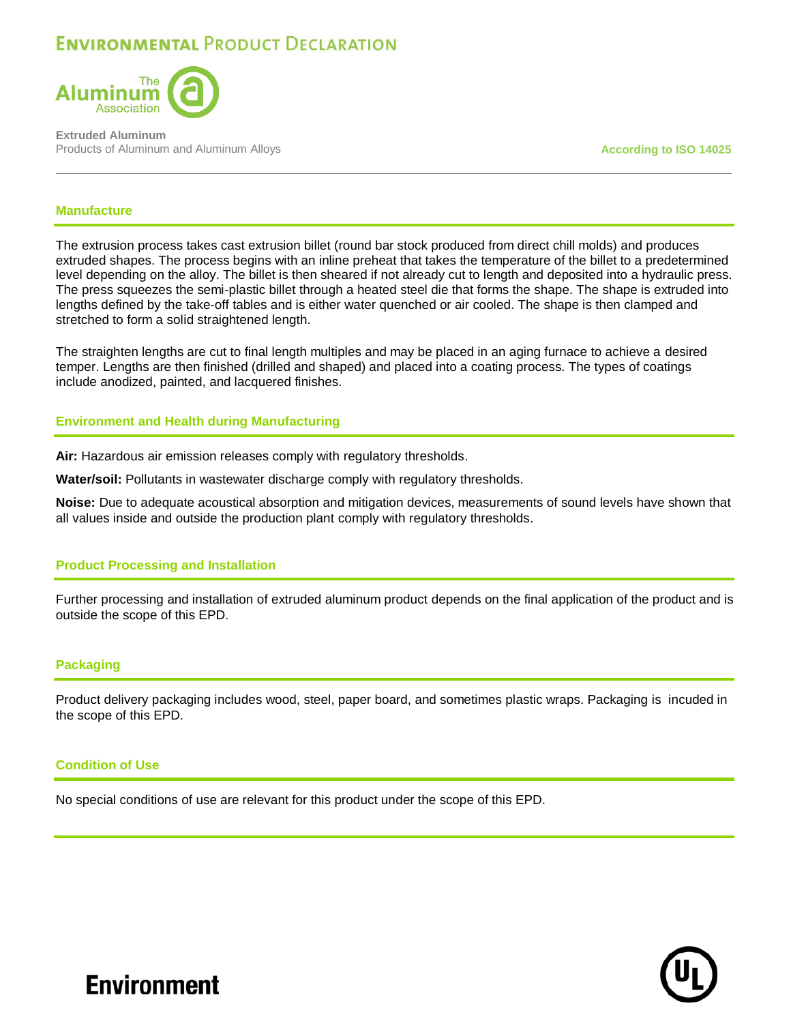

**Extruded Aluminum** Products of Aluminum and Aluminum Alloys **According to ISO 14025 According to ISO 14025** 

#### **Manufacture**

The extrusion process takes cast extrusion billet (round bar stock produced from direct chill molds) and produces extruded shapes. The process begins with an inline preheat that takes the temperature of the billet to a predetermined level depending on the alloy. The billet is then sheared if not already cut to length and deposited into a hydraulic press. The press squeezes the semi-plastic billet through a heated steel die that forms the shape. The shape is extruded into lengths defined by the take-off tables and is either water quenched or air cooled. The shape is then clamped and stretched to form a solid straightened length.

The straighten lengths are cut to final length multiples and may be placed in an aging furnace to achieve a desired temper. Lengths are then finished (drilled and shaped) and placed into a coating process. The types of coatings include anodized, painted, and lacquered finishes.

#### **Environment and Health during Manufacturing**

**Air:** Hazardous air emission releases comply with regulatory thresholds.

**Water/soil:** Pollutants in wastewater discharge comply with regulatory thresholds.

**Noise:** Due to adequate acoustical absorption and mitigation devices, measurements of sound levels have shown that all values inside and outside the production plant comply with regulatory thresholds.

#### **Product Processing and Installation**

Further processing and installation of extruded aluminum product depends on the final application of the product and is outside the scope of this EPD.

#### **Packaging**

Product delivery packaging includes wood, steel, paper board, and sometimes plastic wraps. Packaging is incuded in the scope of this EPD.

#### **Condition of Use**

No special conditions of use are relevant for this product under the scope of this EPD.

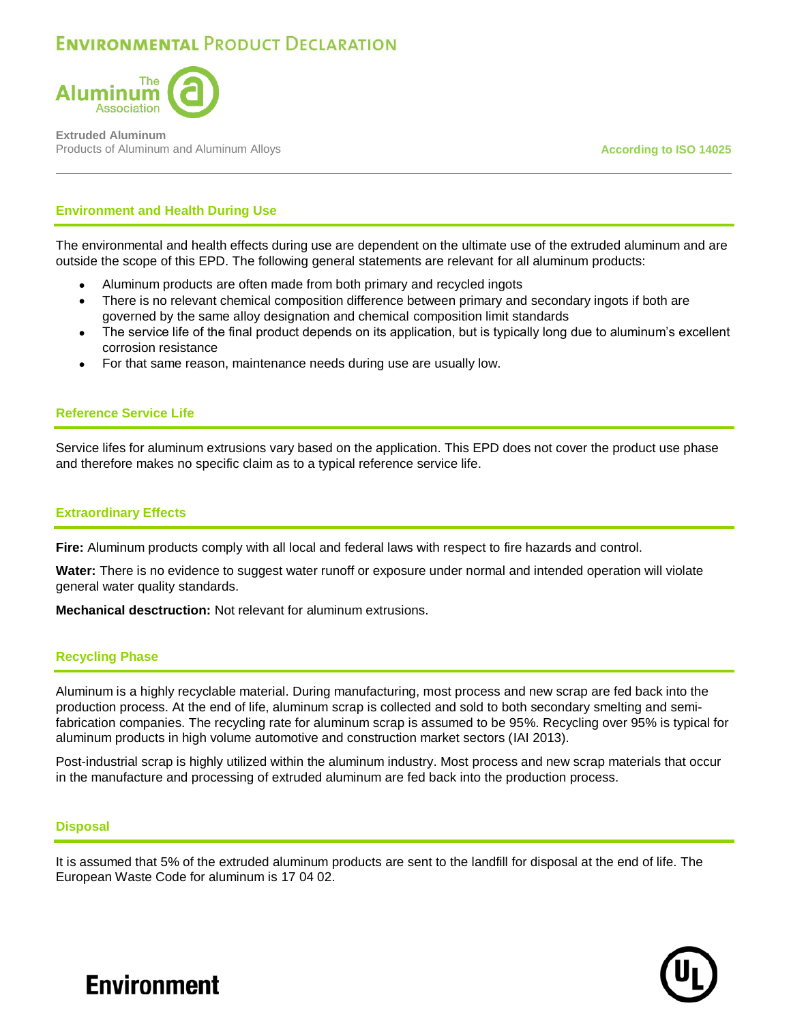

**Extruded Aluminum** Products of Aluminum and Aluminum Alloys **According to ISO 14025 According to ISO 14025** 

### **Environment and Health During Use**

The environmental and health effects during use are dependent on the ultimate use of the extruded aluminum and are outside the scope of this EPD. The following general statements are relevant for all aluminum products:

- Aluminum products are often made from both primary and recycled ingots
- There is no relevant chemical composition difference between primary and secondary ingots if both are governed by the same alloy designation and chemical composition limit standards
- The service life of the final product depends on its application, but is typically long due to aluminum's excellent corrosion resistance
- For that same reason, maintenance needs during use are usually low.

#### **Reference Service Life**

Service lifes for aluminum extrusions vary based on the application. This EPD does not cover the product use phase and therefore makes no specific claim as to a typical reference service life.

#### **Extraordinary Effects**

**Fire:** Aluminum products comply with all local and federal laws with respect to fire hazards and control.

**Water:** There is no evidence to suggest water runoff or exposure under normal and intended operation will violate general water quality standards.

**Mechanical desctruction:** Not relevant for aluminum extrusions.

#### **Recycling Phase**

Aluminum is a highly recyclable material. During manufacturing, most process and new scrap are fed back into the production process. At the end of life, aluminum scrap is collected and sold to both secondary smelting and semifabrication companies. The recycling rate for aluminum scrap is assumed to be 95%. Recycling over 95% is typical for aluminum products in high volume automotive and construction market sectors (IAI 2013).

Post-industrial scrap is highly utilized within the aluminum industry. Most process and new scrap materials that occur in the manufacture and processing of extruded aluminum are fed back into the production process.

#### **Disposal**

It is assumed that 5% of the extruded aluminum products are sent to the landfill for disposal at the end of life. The European Waste Code for aluminum is 17 04 02.

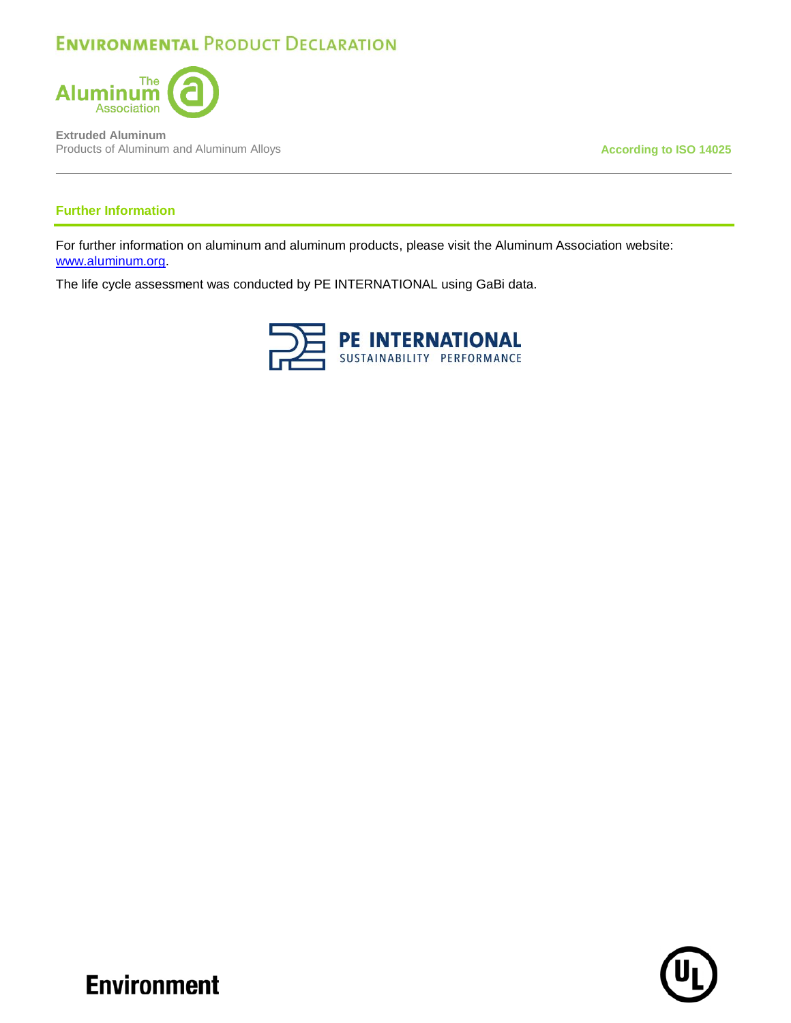

**Extruded Aluminum** Products of Aluminum and Aluminum Alloys **According to ISO 14025** 

### **Further Information**

For further information on aluminum and aluminum products, please visit the Aluminum Association website: [www.aluminum.org.](http://www.aluminum.org/)

The life cycle assessment was conducted by PE INTERNATIONAL using GaBi data.



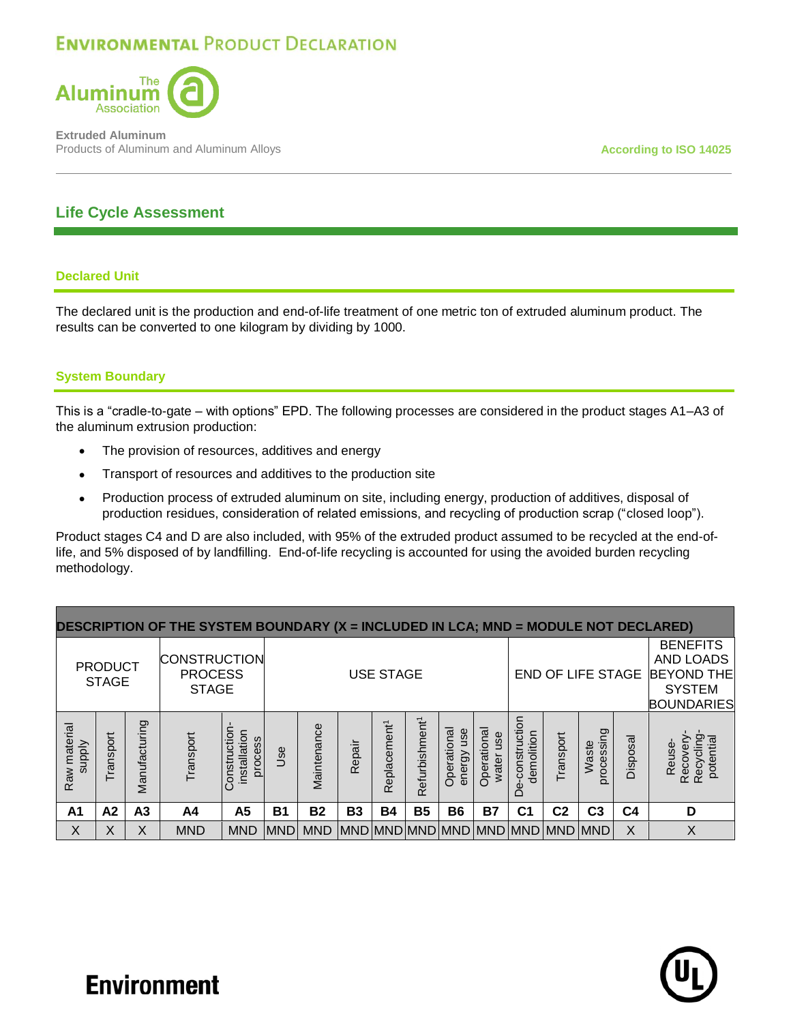

**Extruded Aluminum** Products of Aluminum and Aluminum Alloys **According to ISO 14025 According to ISO 14025** 

## **Life Cycle Assessment**

### **Declared Unit**

The declared unit is the production and end-of-life treatment of one metric ton of extruded aluminum product. The results can be converted to one kilogram by dividing by 1000.

### **System Boundary**

This is a "cradle-to-gate – with options" EPD. The following processes are considered in the product stages A1–A3 of the aluminum extrusion production:

- The provision of resources, additives and energy
- Transport of resources and additives to the production site
- Production process of extruded aluminum on site, including energy, production of additives, disposal of production residues, consideration of related emissions, and recycling of production scrap ("closed loop").

Product stages C4 and D are also included, with 95% of the extruded product assumed to be recycled at the end-oflife, and 5% disposed of by landfilling. End-of-life recycling is accounted for using the avoided burden recycling methodology.

| DESCRIPTION OF THE SYSTEM BOUNDARY (X = INCLUDED IN LCA; MND = MODULE NOT DECLARED) |                                |                |                                                       |                                        |             |                  |           |                          |                            |                              |                          |                                 |                |                                                                                         |                |                                              |
|-------------------------------------------------------------------------------------|--------------------------------|----------------|-------------------------------------------------------|----------------------------------------|-------------|------------------|-----------|--------------------------|----------------------------|------------------------------|--------------------------|---------------------------------|----------------|-----------------------------------------------------------------------------------------|----------------|----------------------------------------------|
|                                                                                     | <b>PRODUCT</b><br><b>STAGE</b> |                | <b>CONSTRUCTION</b><br><b>PROCESS</b><br><b>STAGE</b> |                                        |             | <b>USE STAGE</b> |           |                          |                            |                              | END OF LIFE STAGE        |                                 |                | <b>BENEFITS</b><br>AND LOADS<br><b>BEYOND THE</b><br><b>SYSTEM</b><br><b>BOUNDARIES</b> |                |                                              |
| Raw material<br><b>Alddns</b>                                                       | Transport                      | Manufacturing  | Transport                                             | onstruction<br>installation<br>process | Jse         | Maintenance      | Repair    | Replacement <sup>1</sup> | Refurbishment <sup>1</sup> | Operational<br>use<br>energy | Operational<br>water use | construction<br>demolition<br>ف | Transport      | processing<br>Waste                                                                     | Disposal       | Recycling<br>Recovery<br>potential<br>Reuse- |
| A <sub>1</sub>                                                                      | A <sub>2</sub>                 | A <sub>3</sub> | A4                                                    | A5                                     | <b>B1</b>   | <b>B2</b>        | <b>B3</b> | <b>B4</b>                | <b>B5</b>                  | <b>B6</b>                    | <b>B7</b>                | C <sub>1</sub>                  | C <sub>2</sub> | C <sub>3</sub>                                                                          | C <sub>4</sub> | D                                            |
| X                                                                                   | Χ                              | Χ              | <b>MND</b>                                            | <b>MND</b>                             | <b>IMND</b> | <b>MND</b>       |           |                          |                            |                              |                          | MND MND MND MND MND MND MND MND |                |                                                                                         | X              | X                                            |

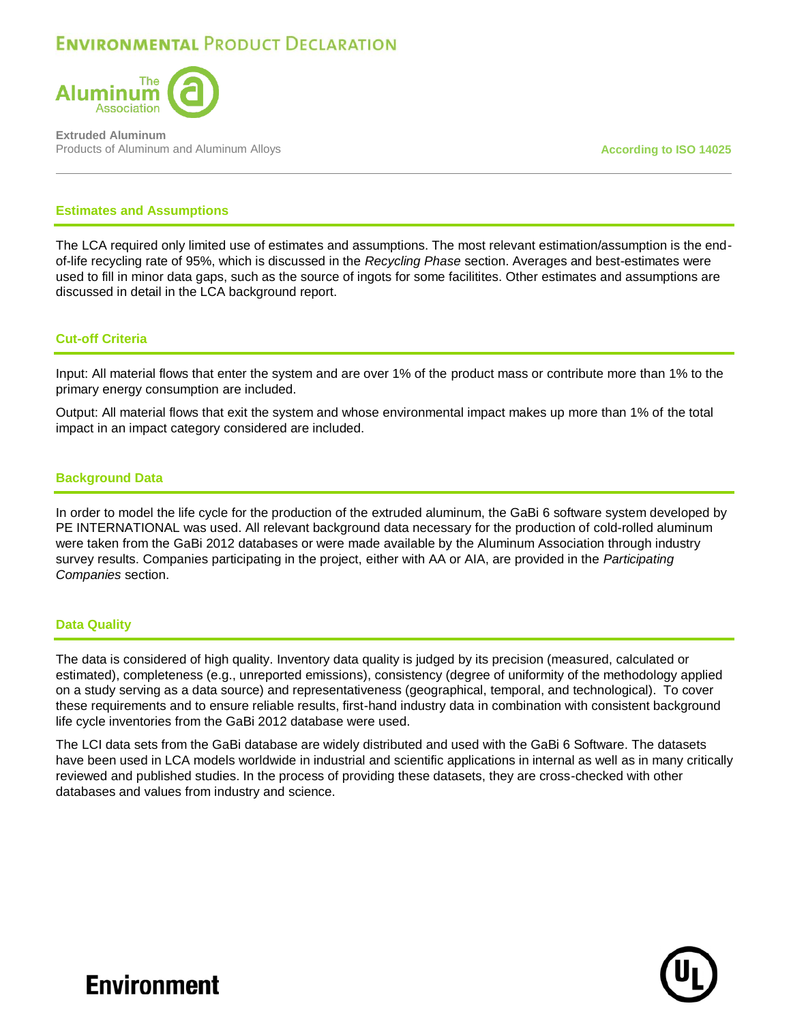

**Extruded Aluminum** Products of Aluminum and Aluminum Alloys **According to ISO 14025 According to ISO 14025** 

#### **Estimates and Assumptions**

The LCA required only limited use of estimates and assumptions. The most relevant estimation/assumption is the endof-life recycling rate of 95%, which is discussed in the *Recycling Phase* section. Averages and best-estimates were used to fill in minor data gaps, such as the source of ingots for some facilitites. Other estimates and assumptions are discussed in detail in the LCA background report.

#### **Cut-off Criteria**

Input: All material flows that enter the system and are over 1% of the product mass or contribute more than 1% to the primary energy consumption are included.

Output: All material flows that exit the system and whose environmental impact makes up more than 1% of the total impact in an impact category considered are included.

#### **Background Data**

In order to model the life cycle for the production of the extruded aluminum, the GaBi 6 software system developed by PE INTERNATIONAL was used. All relevant background data necessary for the production of cold-rolled aluminum were taken from the GaBi 2012 databases or were made available by the Aluminum Association through industry survey results. Companies participating in the project, either with AA or AIA, are provided in the *Participating Companies* section.

#### **Data Quality**

The data is considered of high quality. Inventory data quality is judged by its precision (measured, calculated or estimated), completeness (e.g., unreported emissions), consistency (degree of uniformity of the methodology applied on a study serving as a data source) and representativeness (geographical, temporal, and technological). To cover these requirements and to ensure reliable results, first-hand industry data in combination with consistent background life cycle inventories from the GaBi 2012 database were used.

The LCI data sets from the GaBi database are widely distributed and used with the GaBi 6 Software. The datasets have been used in LCA models worldwide in industrial and scientific applications in internal as well as in many critically reviewed and published studies. In the process of providing these datasets, they are cross-checked with other databases and values from industry and science.

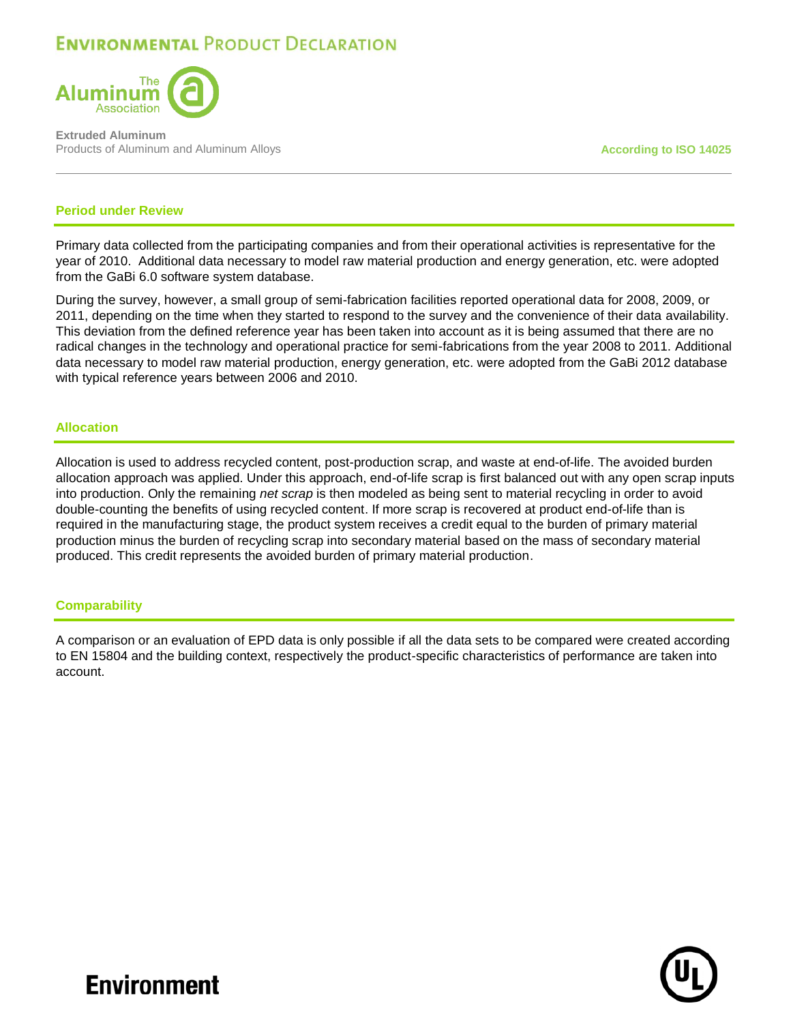

**Extruded Aluminum** Products of Aluminum and Aluminum Alloys **According to ISO 14025 According to ISO 14025** 

#### **Period under Review**

Primary data collected from the participating companies and from their operational activities is representative for the year of 2010. Additional data necessary to model raw material production and energy generation, etc. were adopted from the GaBi 6.0 software system database.

During the survey, however, a small group of semi-fabrication facilities reported operational data for 2008, 2009, or 2011, depending on the time when they started to respond to the survey and the convenience of their data availability. This deviation from the defined reference year has been taken into account as it is being assumed that there are no radical changes in the technology and operational practice for semi-fabrications from the year 2008 to 2011. Additional data necessary to model raw material production, energy generation, etc. were adopted from the GaBi 2012 database with typical reference years between 2006 and 2010.

#### **Allocation**

Allocation is used to address recycled content, post-production scrap, and waste at end-of-life. The avoided burden allocation approach was applied. Under this approach, end-of-life scrap is first balanced out with any open scrap inputs into production. Only the remaining *net scrap* is then modeled as being sent to material recycling in order to avoid double-counting the benefits of using recycled content. If more scrap is recovered at product end-of-life than is required in the manufacturing stage, the product system receives a credit equal to the burden of primary material production minus the burden of recycling scrap into secondary material based on the mass of secondary material produced. This credit represents the avoided burden of primary material production.

#### **Comparability**

A comparison or an evaluation of EPD data is only possible if all the data sets to be compared were created according to EN 15804 and the building context, respectively the product-specific characteristics of performance are taken into account.

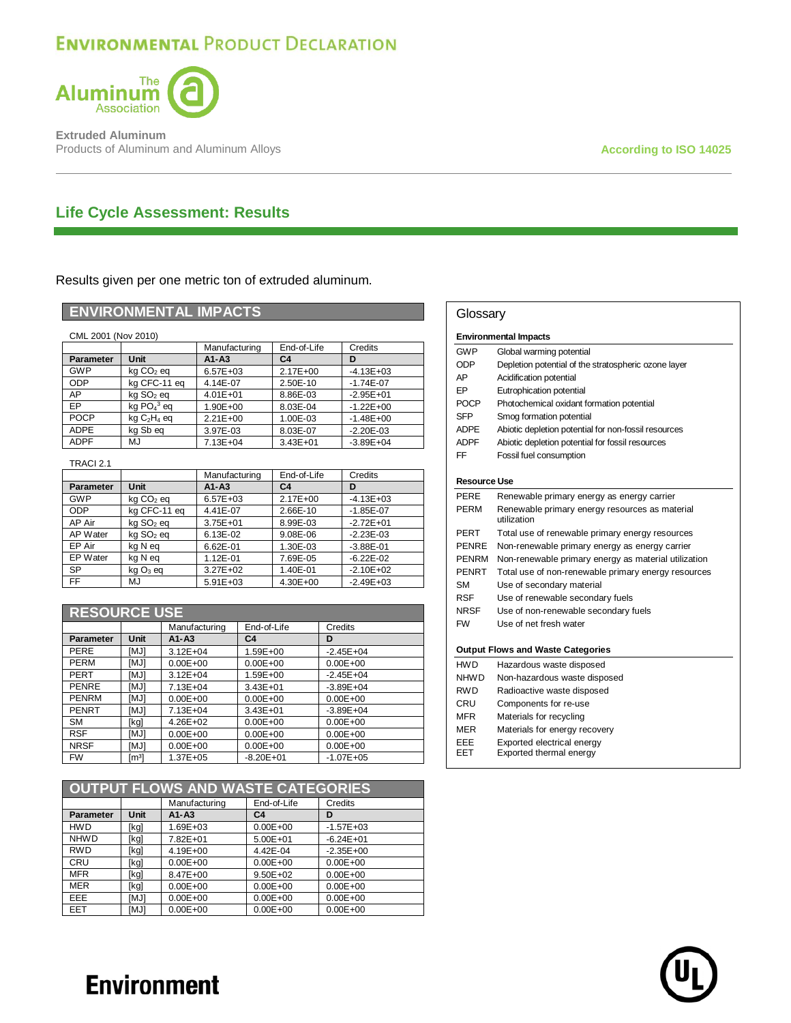

**Extruded Aluminum** Products of Aluminum and Aluminum Alloys **According to ISO 14025** 

## **Life Cycle Assessment: Results**

Results given per one metric ton of extruded aluminum.

### **ENVIRONMENTAL IMPACTS**

| CML 2001 (Nov 2010) |                                       |               |                |               |  |  |  |  |
|---------------------|---------------------------------------|---------------|----------------|---------------|--|--|--|--|
|                     |                                       | Manufacturing | End-of-Life    | Credits       |  |  |  |  |
| Parameter           | Unit                                  | $A1 - A3$     | C <sub>4</sub> | D             |  |  |  |  |
| <b>GWP</b>          | kg CO <sub>2</sub> eg                 | $6.57E + 03$  | $2.17E + 00$   | $-4.13E + 03$ |  |  |  |  |
| <b>ODP</b>          | kg CFC-11 eg                          | 4.14E-07      | 2.50E-10       | $-1.74E - 07$ |  |  |  |  |
| AP                  | kg SO <sub>2</sub> eg                 | $4.01E + 01$  | 8.86E-03       | $-2.95E + 01$ |  |  |  |  |
| EP                  | kg $PO43$ eg                          | 1.90E+00      | 8.03E-04       | $-1.22E + 00$ |  |  |  |  |
| <b>POCP</b>         | $kq$ C <sub>2</sub> H <sub>4</sub> eq | $2.21E + 00$  | 1.00E-03       | $-1.48E + 00$ |  |  |  |  |
| <b>ADPE</b>         | kg Sb eg                              | 3.97E-03      | 8.03E-07       | $-2.20E - 03$ |  |  |  |  |
| <b>ADPF</b>         | MJ                                    | 7.13E+04      | $3.43E + 01$   | $-3.89E + 04$ |  |  |  |  |

TRACI 2.1

|                  |                       | Manufacturing | End-of-Life    | Credits       |
|------------------|-----------------------|---------------|----------------|---------------|
| <b>Parameter</b> | Unit                  | $A1 - A3$     | C <sub>4</sub> | D             |
| <b>GWP</b>       | kg CO <sub>2</sub> eg | $6.57E + 03$  | $2.17E + 00$   | $-4.13E + 03$ |
| <b>ODP</b>       | kg CFC-11 eg          | 4.41E-07      | 2.66E-10       | $-1.85E - 07$ |
| AP Air           | kg SO <sub>2</sub> eg | 3.75E+01      | 8.99E-03       | $-2.72E + 01$ |
| AP Water         | kg SO <sub>2</sub> eg | 6.13E-02      | 9.08E-06       | $-2.23E - 03$ |
| EP Air           | kg N eg               | 6.62E-01      | 1.30E-03       | $-3.88E - 01$ |
| EP Water         | kg N eg               | 1.12E-01      | 7.69E-05       | $-6.22E - 02$ |
| <b>SP</b>        | kg O <sub>3</sub> eg  | 3.27E+02      | 1.40E-01       | $-2.10E + 02$ |
| FF.              | MJ                    | $5.91E + 03$  | 4.30E+00       | $-2.49E + 03$ |

| <b>RESOURCE USE</b> |                 |               |                |                |  |  |  |
|---------------------|-----------------|---------------|----------------|----------------|--|--|--|
|                     |                 | Manufacturing | End-of-Life    | Credits        |  |  |  |
| <b>Parameter</b>    | <b>Unit</b>     | $A1 - A3$     | C <sub>4</sub> | D              |  |  |  |
| PERE                | [MJ]            | $3.12E + 04$  | 1.59E+00       | $-2.45E + 04$  |  |  |  |
| PERM                | [MJ]            | $0.00E + 00$  | $0.00E + 00$   | $0.00E + 00$   |  |  |  |
| PERT                | <b>IMJ1</b>     | $3.12E + 04$  | 1.59E+00       | $-2.45E + 04$  |  |  |  |
| <b>PENRE</b>        | [MJ]            | $7.13E + 04$  | $3.43E + 01$   | $-3.89E + 04$  |  |  |  |
| <b>PENRM</b>        | [MJ]            | $0.00E + 00$  | $0.00E + 00$   | $0.00E + 00$   |  |  |  |
| <b>PENRT</b>        | [MJ]            | $7.13E + 04$  | $3.43E + 01$   | $-3.89E + 04$  |  |  |  |
| <b>SM</b>           | [kg]            | $4.26E + 02$  | $0.00E + 00$   | $0.00E + 00$   |  |  |  |
| <b>RSF</b>          | [MJ]            | $0.00E + 00$  | $0.00E + 00$   | $0.00E + 00$   |  |  |  |
| <b>NRSF</b>         | [MJ]            | $0.00E + 00$  | $0.00E + 00$   | $0.00E + 00$   |  |  |  |
| <b>FW</b>           | $\mathsf{Im}^3$ | $1.37E + 05$  | $-8.20E + 01$  | $-1.07E + 0.5$ |  |  |  |

| OUTPUT FLOWS AND WASTE CATEGORIES |             |               |                |               |  |  |  |
|-----------------------------------|-------------|---------------|----------------|---------------|--|--|--|
|                                   |             | Manufacturing | End-of-Life    | Credits       |  |  |  |
| Parameter                         | <b>Unit</b> | $A1 - A3$     | C <sub>4</sub> | D             |  |  |  |
| <b>HWD</b>                        | [kg]        | 1.69E+03      | $0.00E + 00$   | $-1.57E + 03$ |  |  |  |
| <b>NHWD</b>                       | [kg]        | 7.82E+01      | $5.00E + 01$   | $-6.24E + 01$ |  |  |  |
| <b>RWD</b>                        | [kg]        | 4.19E+00      | 4.42E-04       | $-2.35E + 00$ |  |  |  |
| <b>CRU</b>                        | [kg]        | $0.00E + 00$  | $0.00E + 00$   | $0.00E + 00$  |  |  |  |
| <b>MFR</b>                        | [kg]        | 8.47E+00      | $9.50E + 02$   | $0.00E + 00$  |  |  |  |
| <b>MER</b>                        | [kg]        | $0.00E + 00$  | $0.00E + 00$   | $0.00E + 00$  |  |  |  |
| <b>EEE</b>                        | [MJ]        | $0.00E + 00$  | $0.00E + 00$   | $0.00E + 00$  |  |  |  |
| <b>EET</b>                        | [MJ]        | $0.00E + 00$  | $0.00E + 00$   | $0.00E + 00$  |  |  |  |

|                                          | Glossary                                                      |  |  |  |  |  |  |
|------------------------------------------|---------------------------------------------------------------|--|--|--|--|--|--|
| <b>Environmental Impacts</b>             |                                                               |  |  |  |  |  |  |
| GWP                                      | Global warming potential                                      |  |  |  |  |  |  |
| ODP                                      | Depletion potential of the stratospheric ozone layer          |  |  |  |  |  |  |
| AP                                       | Acidification potential                                       |  |  |  |  |  |  |
| EP                                       | Eutrophication potential                                      |  |  |  |  |  |  |
| <b>POCP</b>                              | Photochemical oxidant formation potential                     |  |  |  |  |  |  |
| <b>SFP</b>                               | Smog formation potential                                      |  |  |  |  |  |  |
| ADPF                                     | Abiotic depletion potential for non-fossil resources          |  |  |  |  |  |  |
| <b>ADPF</b>                              | Abiotic depletion potential for fossil resources              |  |  |  |  |  |  |
| FF                                       | Fossil fuel consumption                                       |  |  |  |  |  |  |
| Resource Use                             |                                                               |  |  |  |  |  |  |
| PFRF                                     | Renewable primary energy as energy carrier                    |  |  |  |  |  |  |
| PFRM                                     | Renewable primary energy resources as material<br>utilization |  |  |  |  |  |  |
| PERT                                     | Total use of renewable primary energy resources               |  |  |  |  |  |  |
| <b>PENRE</b>                             | Non-renewable primary energy as energy carrier                |  |  |  |  |  |  |
| <b>PENRM</b>                             | Non-renewable primary energy as material utilization          |  |  |  |  |  |  |
| <b>PENRT</b>                             | Total use of non-renewable primary energy resources           |  |  |  |  |  |  |
| SМ                                       | Use of secondary material                                     |  |  |  |  |  |  |
| RSF                                      | Use of renewable secondary fuels                              |  |  |  |  |  |  |
| NRSF                                     | Use of non-renewable secondary fuels                          |  |  |  |  |  |  |
| <b>FW</b>                                | Use of net fresh water                                        |  |  |  |  |  |  |
| <b>Output Flows and Waste Categories</b> |                                                               |  |  |  |  |  |  |
| <b>HWD</b>                               | Hazardous waste disposed                                      |  |  |  |  |  |  |
| NHW D                                    | Non-hazardous waste disposed                                  |  |  |  |  |  |  |
| <b>RWD</b>                               | Radioactive waste disposed                                    |  |  |  |  |  |  |
| CRU                                      | Components for re-use                                         |  |  |  |  |  |  |
| MFR                                      | Materials for recycling                                       |  |  |  |  |  |  |
| MER                                      | Materials for energy recovery                                 |  |  |  |  |  |  |

EEE Exported electrical energy EET Exported thermal energy

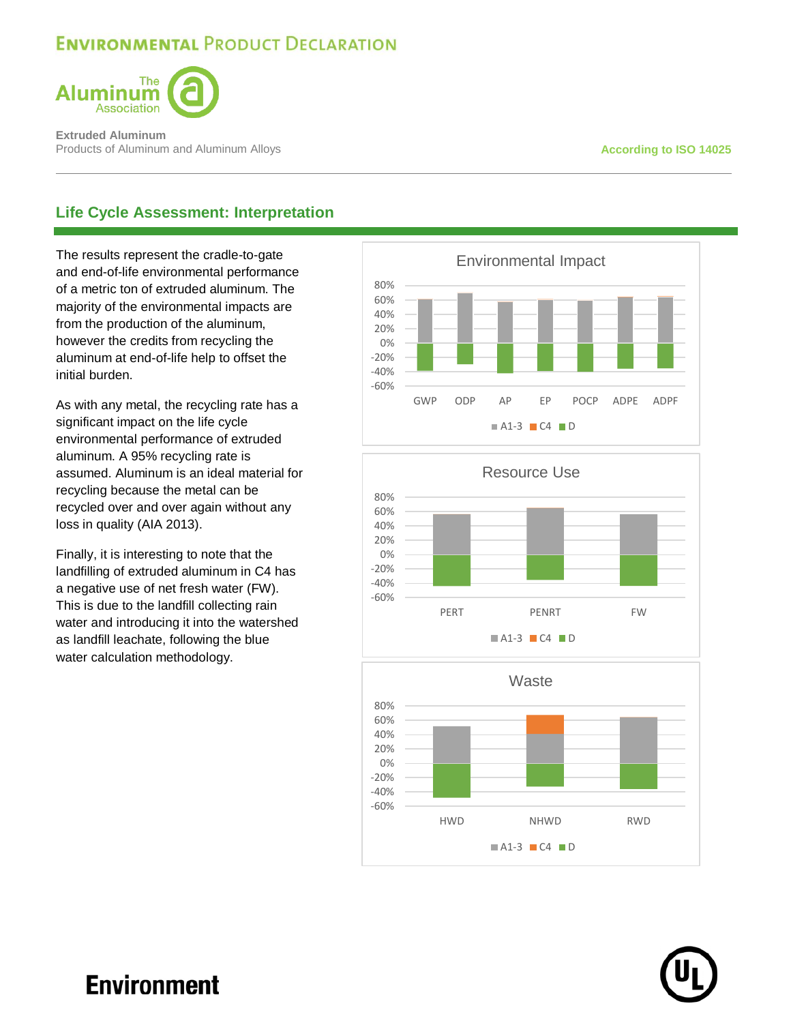

**Extruded Aluminum** Products of Aluminum and Aluminum Alloys **According to ISO 14025 According to ISO 14025** 

## **Life Cycle Assessment: Interpretation**

The results represent the cradle-to-gate and end-of-life environmental performance of a metric ton of extruded aluminum. The majority of the environmental impacts are from the production of the aluminum, however the credits from recycling the aluminum at end-of-life help to offset the initial burden.

As with any metal, the recycling rate has a significant impact on the life cycle environmental performance of extruded aluminum. A 95% recycling rate is assumed. Aluminum is an ideal material for recycling because the metal can be recycled over and over again without any loss in quality (AIA 2013).

Finally, it is interesting to note that the landfilling of extruded aluminum in C4 has a negative use of net fresh water (FW). This is due to the landfill collecting rain water and introducing it into the watershed as landfill leachate, following the blue water calculation methodology.







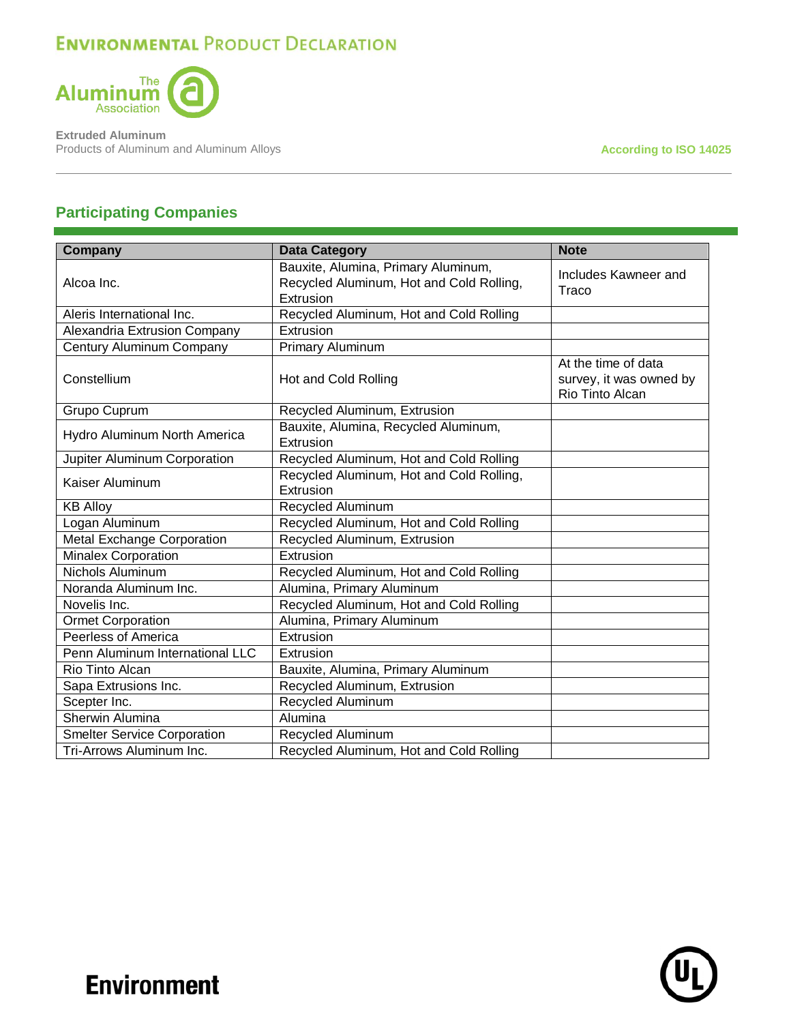

**Extruded Aluminum Products of Aluminum and Aluminum Alloys According to ISO 14025** 

## **Participating Companies**

| Company                            | <b>Data Category</b>                                                                         | <b>Note</b>                                                       |
|------------------------------------|----------------------------------------------------------------------------------------------|-------------------------------------------------------------------|
| Alcoa Inc.                         | Bauxite, Alumina, Primary Aluminum,<br>Recycled Aluminum, Hot and Cold Rolling,<br>Extrusion | Includes Kawneer and<br>Traco                                     |
| Aleris International Inc.          | Recycled Aluminum, Hot and Cold Rolling                                                      |                                                                   |
| Alexandria Extrusion Company       | Extrusion                                                                                    |                                                                   |
| Century Aluminum Company           | Primary Aluminum                                                                             |                                                                   |
| Constellium                        | Hot and Cold Rolling                                                                         | At the time of data<br>survey, it was owned by<br>Rio Tinto Alcan |
| Grupo Cuprum                       | Recycled Aluminum, Extrusion                                                                 |                                                                   |
| Hydro Aluminum North America       | Bauxite, Alumina, Recycled Aluminum,<br>Extrusion                                            |                                                                   |
| Jupiter Aluminum Corporation       | Recycled Aluminum, Hot and Cold Rolling                                                      |                                                                   |
| Kaiser Aluminum                    | Recycled Aluminum, Hot and Cold Rolling,<br>Extrusion                                        |                                                                   |
| <b>KB Alloy</b>                    | Recycled Aluminum                                                                            |                                                                   |
| Logan Aluminum                     | Recycled Aluminum, Hot and Cold Rolling                                                      |                                                                   |
| Metal Exchange Corporation         | Recycled Aluminum, Extrusion                                                                 |                                                                   |
| <b>Minalex Corporation</b>         | Extrusion                                                                                    |                                                                   |
| <b>Nichols Aluminum</b>            | Recycled Aluminum, Hot and Cold Rolling                                                      |                                                                   |
| Noranda Aluminum Inc.              | Alumina, Primary Aluminum                                                                    |                                                                   |
| Novelis Inc.                       | Recycled Aluminum, Hot and Cold Rolling                                                      |                                                                   |
| <b>Ormet Corporation</b>           | Alumina, Primary Aluminum                                                                    |                                                                   |
| <b>Peerless of America</b>         | Extrusion                                                                                    |                                                                   |
| Penn Aluminum International LLC    | Extrusion                                                                                    |                                                                   |
| Rio Tinto Alcan                    | Bauxite, Alumina, Primary Aluminum                                                           |                                                                   |
| Sapa Extrusions Inc.               | Recycled Aluminum, Extrusion                                                                 |                                                                   |
| Scepter Inc.                       | Recycled Aluminum                                                                            |                                                                   |
| Sherwin Alumina                    | Alumina                                                                                      |                                                                   |
| <b>Smelter Service Corporation</b> | Recycled Aluminum                                                                            |                                                                   |
| Tri-Arrows Aluminum Inc.           | Recycled Aluminum, Hot and Cold Rolling                                                      |                                                                   |